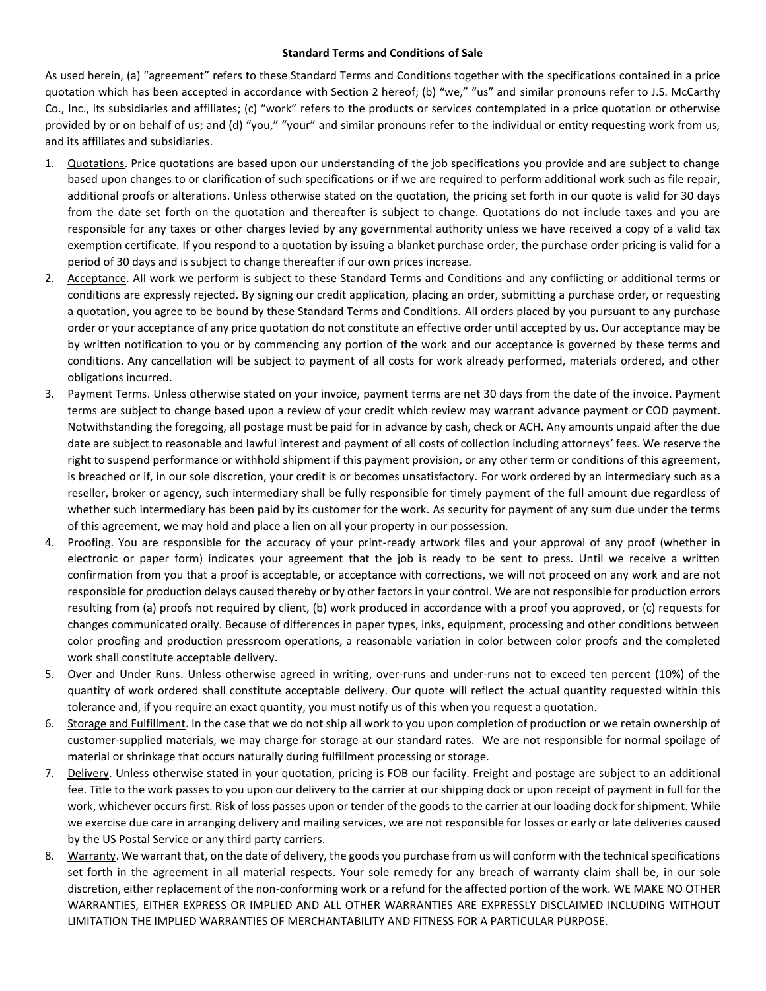## **Standard Terms and Conditions of Sale**

As used herein, (a) "agreement" refers to these Standard Terms and Conditions together with the specifications contained in a price quotation which has been accepted in accordance with Section 2 hereof; (b) "we," "us" and similar pronouns refer to J.S. McCarthy Co., Inc., its subsidiaries and affiliates; (c) "work" refers to the products or services contemplated in a price quotation or otherwise provided by or on behalf of us; and (d) "you," "your" and similar pronouns refer to the individual or entity requesting work from us, and its affiliates and subsidiaries.

- 1. Quotations. Price quotations are based upon our understanding of the job specifications you provide and are subject to change based upon changes to or clarification of such specifications or if we are required to perform additional work such as file repair, additional proofs or alterations. Unless otherwise stated on the quotation, the pricing set forth in our quote is valid for 30 days from the date set forth on the quotation and thereafter is subject to change. Quotations do not include taxes and you are responsible for any taxes or other charges levied by any governmental authority unless we have received a copy of a valid tax exemption certificate. If you respond to a quotation by issuing a blanket purchase order, the purchase order pricing is valid for a period of 30 days and is subject to change thereafter if our own prices increase.
- 2. Acceptance. All work we perform is subject to these Standard Terms and Conditions and any conflicting or additional terms or conditions are expressly rejected. By signing our credit application, placing an order, submitting a purchase order, or requesting a quotation, you agree to be bound by these Standard Terms and Conditions. All orders placed by you pursuant to any purchase order or your acceptance of any price quotation do not constitute an effective order until accepted by us. Our acceptance may be by written notification to you or by commencing any portion of the work and our acceptance is governed by these terms and conditions. Any cancellation will be subject to payment of all costs for work already performed, materials ordered, and other obligations incurred.
- 3. Payment Terms. Unless otherwise stated on your invoice, payment terms are net 30 days from the date of the invoice. Payment terms are subject to change based upon a review of your credit which review may warrant advance payment or COD payment. Notwithstanding the foregoing, all postage must be paid for in advance by cash, check or ACH. Any amounts unpaid after the due date are subject to reasonable and lawful interest and payment of all costs of collection including attorneys' fees. We reserve the right to suspend performance or withhold shipment if this payment provision, or any other term or conditions of this agreement, is breached or if, in our sole discretion, your credit is or becomes unsatisfactory. For work ordered by an intermediary such as a reseller, broker or agency, such intermediary shall be fully responsible for timely payment of the full amount due regardless of whether such intermediary has been paid by its customer for the work. As security for payment of any sum due under the terms of this agreement, we may hold and place a lien on all your property in our possession.
- 4. Proofing. You are responsible for the accuracy of your print-ready artwork files and your approval of any proof (whether in electronic or paper form) indicates your agreement that the job is ready to be sent to press. Until we receive a written confirmation from you that a proof is acceptable, or acceptance with corrections, we will not proceed on any work and are not responsible for production delays caused thereby or by other factors in your control. We are not responsible for production errors resulting from (a) proofs not required by client, (b) work produced in accordance with a proof you approved, or (c) requests for changes communicated orally. Because of differences in paper types, inks, equipment, processing and other conditions between color proofing and production pressroom operations, a reasonable variation in color between color proofs and the completed work shall constitute acceptable delivery.
- 5. Over and Under Runs. Unless otherwise agreed in writing, over-runs and under-runs not to exceed ten percent (10%) of the quantity of work ordered shall constitute acceptable delivery. Our quote will reflect the actual quantity requested within this tolerance and, if you require an exact quantity, you must notify us of this when you request a quotation.
- 6. Storage and Fulfillment. In the case that we do not ship all work to you upon completion of production or we retain ownership of customer-supplied materials, we may charge for storage at our standard rates. We are not responsible for normal spoilage of material or shrinkage that occurs naturally during fulfillment processing or storage.
- 7. Delivery. Unless otherwise stated in your quotation, pricing is FOB our facility. Freight and postage are subject to an additional fee. Title to the work passes to you upon our delivery to the carrier at our shipping dock or upon receipt of payment in full for the work, whichever occurs first. Risk of loss passes upon or tender of the goods to the carrier at our loading dock for shipment. While we exercise due care in arranging delivery and mailing services, we are not responsible for losses or early or late deliveries caused by the US Postal Service or any third party carriers.
- 8. Warranty. We warrant that, on the date of delivery, the goods you purchase from us will conform with the technical specifications set forth in the agreement in all material respects. Your sole remedy for any breach of warranty claim shall be, in our sole discretion, either replacement of the non-conforming work or a refund for the affected portion of the work. WE MAKE NO OTHER WARRANTIES, EITHER EXPRESS OR IMPLIED AND ALL OTHER WARRANTIES ARE EXPRESSLY DISCLAIMED INCLUDING WITHOUT LIMITATION THE IMPLIED WARRANTIES OF MERCHANTABILITY AND FITNESS FOR A PARTICULAR PURPOSE.